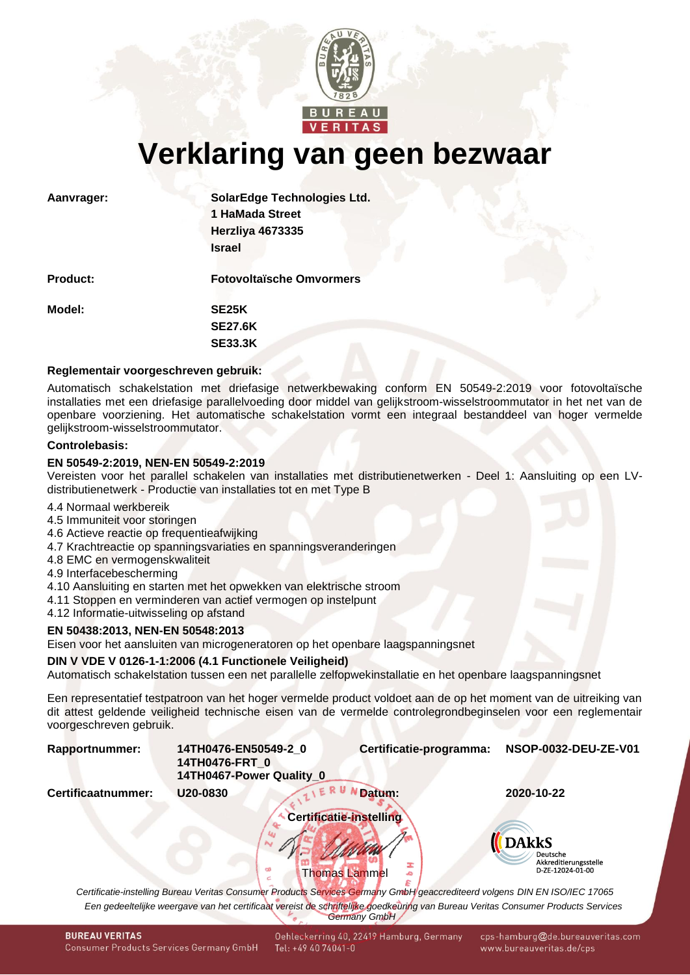

**Verklaring van geen bezwaar**

| Aanvrager:      | <b>SolarEdge Technologies Ltd.</b> |
|-----------------|------------------------------------|
|                 | 1 HaMada Street                    |
|                 | Herzliya 4673335                   |
|                 | <b>Israel</b>                      |
| <b>Product:</b> | <b>Fotovoltaïsche Omvormers</b>    |
| Model:          | SE <sub>25</sub> K                 |
|                 | <b>SE27.6K</b>                     |
|                 | <b>SE33.3K</b>                     |
|                 |                                    |

# **Reglementair voorgeschreven gebruik:**

Automatisch schakelstation met driefasige netwerkbewaking conform EN 50549-2:2019 voor fotovoltaïsche installaties met een driefasige parallelvoeding door middel van gelijkstroom-wisselstroommutator in het net van de openbare voorziening. Het automatische schakelstation vormt een integraal bestanddeel van hoger vermelde gelijkstroom-wisselstroommutator.

### **Controlebasis:**

# **EN 50549-2:2019, NEN-EN 50549-2:2019**

Vereisten voor het parallel schakelen van installaties met distributienetwerken - Deel 1: Aansluiting op een LVdistributienetwerk - Productie van installaties tot en met Type B

- 4.4 Normaal werkbereik
- 4.5 Immuniteit voor storingen
- 4.6 Actieve reactie op frequentieafwijking
- 4.7 Krachtreactie op spanningsvariaties en spanningsveranderingen
- 4.8 EMC en vermogenskwaliteit
- 4.9 Interfacebescherming
- 4.10 Aansluiting en starten met het opwekken van elektrische stroom
- 4.11 Stoppen en verminderen van actief vermogen op instelpunt
- 4.12 Informatie-uitwisseling op afstand

# **EN 50438:2013, NEN-EN 50548:2013**

Eisen voor het aansluiten van microgeneratoren op het openbare laagspanningsnet

# **DIN V VDE V 0126-1-1:2006 (4.1 Functionele Veiligheid)**

Automatisch schakelstation tussen een net parallelle zelfopwekinstallatie en het openbare laagspanningsnet

Een representatief testpatroon van het hoger vermelde product voldoet aan de op het moment van de uitreiking van dit attest geldende veiligheid technische eisen van de vermelde controlegrondbeginselen voor een reglementair voorgeschreven gebruik.

<span id="page-0-1"></span><span id="page-0-0"></span>

| Rapportnummer:     | 14TH0476-EN50549-2 0<br>14TH0476-FRT 0<br>14TH0467-Power Quality 0 | Certificatie-programma:                                                                                                                                  | NSOP-0032-DEU-ZE-V01                                                  |
|--------------------|--------------------------------------------------------------------|----------------------------------------------------------------------------------------------------------------------------------------------------------|-----------------------------------------------------------------------|
| Certificaatnummer: | U20-0830                                                           | Datum:                                                                                                                                                   | 2020-10-22                                                            |
|                    |                                                                    | Certificatie-instelling<br><b>Thomas Lammel</b>                                                                                                          | <b>DAkkS</b><br>Deutsche<br>Akkreditierungsstelle<br>D-ZE-12024-01-00 |
|                    |                                                                    | Certificatie-instelling Bureau Veritas Consumer Products Services Germany GmbH geaccrediteerd volgens DIN EN ISO/IEC 17065                               |                                                                       |
|                    |                                                                    | Een gedeeltelijke weergave van het certificaat vereist de schriftelijke goedkeuring van Bureau Veritas Consumer Products Services<br><b>Germany GmbH</b> |                                                                       |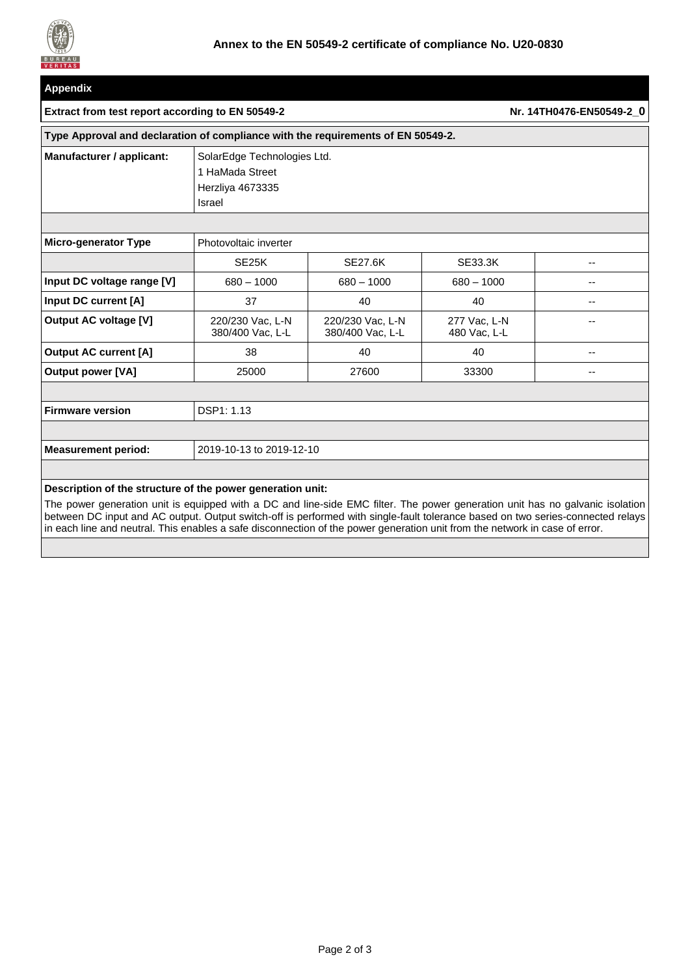

| <b>Appendix</b>                                                                                                               |                                                                                     |                                      |                              |    |  |  |  |  |
|-------------------------------------------------------------------------------------------------------------------------------|-------------------------------------------------------------------------------------|--------------------------------------|------------------------------|----|--|--|--|--|
| Extract from test report according to EN 50549-2                                                                              |                                                                                     | Nr. 14TH0476-EN50549-2 0             |                              |    |  |  |  |  |
| Type Approval and declaration of compliance with the requirements of EN 50549-2.                                              |                                                                                     |                                      |                              |    |  |  |  |  |
| Manufacturer / applicant:                                                                                                     | SolarEdge Technologies Ltd.<br>1 HaMada Street<br>Herzliya 4673335<br><b>Israel</b> |                                      |                              |    |  |  |  |  |
| <b>Micro-generator Type</b>                                                                                                   | Photovoltaic inverter                                                               |                                      |                              |    |  |  |  |  |
|                                                                                                                               | SE <sub>25</sub> K                                                                  | <b>SE27.6K</b>                       | SE33.3K                      | -- |  |  |  |  |
| Input DC voltage range [V]                                                                                                    | $680 - 1000$                                                                        | $680 - 1000$                         | $680 - 1000$                 | -- |  |  |  |  |
| Input DC current [A]                                                                                                          | 37                                                                                  | 40                                   | 40                           | -- |  |  |  |  |
| <b>Output AC voltage [V]</b>                                                                                                  | 220/230 Vac, L-N<br>380/400 Vac, L-L                                                | 220/230 Vac, L-N<br>380/400 Vac, L-L | 277 Vac, L-N<br>480 Vac, L-L | -- |  |  |  |  |
| <b>Output AC current [A]</b>                                                                                                  | 38                                                                                  | 40                                   | 40                           | -- |  |  |  |  |
| <b>Output power [VA]</b>                                                                                                      | 25000                                                                               | 27600                                | 33300                        | -- |  |  |  |  |
|                                                                                                                               |                                                                                     |                                      |                              |    |  |  |  |  |
| <b>Firmware version</b>                                                                                                       | DSP1: 1.13                                                                          |                                      |                              |    |  |  |  |  |
|                                                                                                                               |                                                                                     |                                      |                              |    |  |  |  |  |
| <b>Measurement period:</b>                                                                                                    | 2019-10-13 to 2019-12-10                                                            |                                      |                              |    |  |  |  |  |
|                                                                                                                               |                                                                                     |                                      |                              |    |  |  |  |  |
| Description of the structure of the power generation unit:                                                                    |                                                                                     |                                      |                              |    |  |  |  |  |
| The power generation unit is equipped with a DC and line-side EMC filter. The power generation unit has no galvanic isolation |                                                                                     |                                      |                              |    |  |  |  |  |

between DC input and AC output. Output switch-off is performed with single-fault tolerance based on two series-connected relays in each line and neutral. This enables a safe disconnection of the power generation unit from the network in case of error.